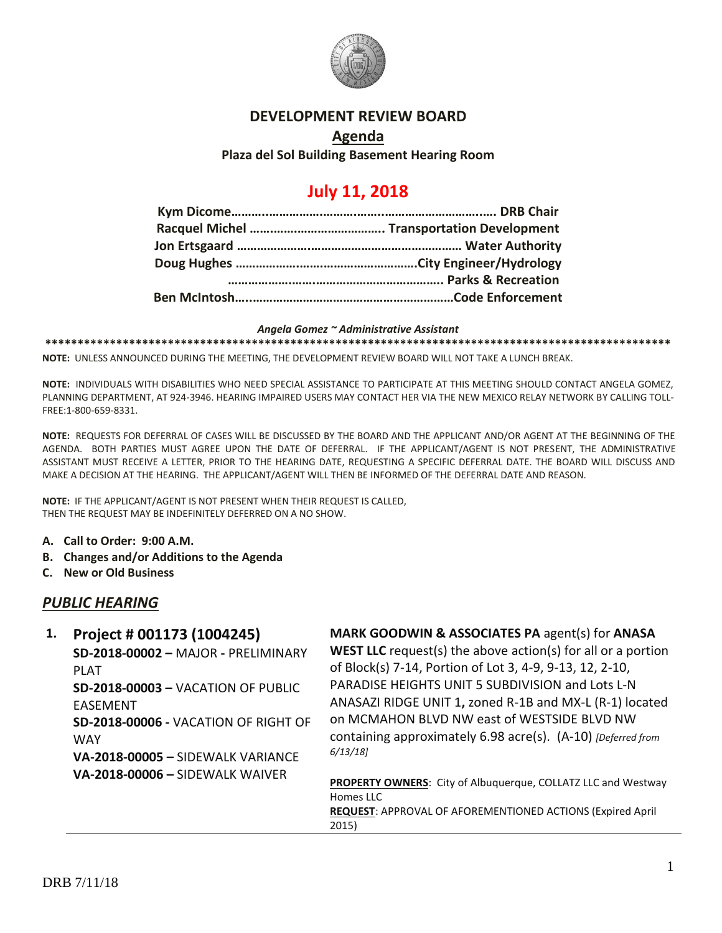

#### **DEVELOPMENT REVIEW BOARD**

**Agenda Plaza del Sol Building Basement Hearing Room**

# **July 11, 2018**

#### *Angela Gomez ~ Administrative Assistant*

**\*\*\*\*\*\*\*\*\*\*\*\*\*\*\*\*\*\*\*\*\*\*\*\*\*\*\*\*\*\*\*\*\*\*\*\*\*\*\*\*\*\*\*\*\*\*\*\*\*\*\*\*\*\*\*\*\*\*\*\*\*\*\*\*\*\*\*\*\*\*\*\*\*\*\*\*\*\*\*\*\*\*\*\*\*\*\*\*\*\*\*\*\*\*\*\*\***

**NOTE:** UNLESS ANNOUNCED DURING THE MEETING, THE DEVELOPMENT REVIEW BOARD WILL NOT TAKE A LUNCH BREAK.

**NOTE:** INDIVIDUALS WITH DISABILITIES WHO NEED SPECIAL ASSISTANCE TO PARTICIPATE AT THIS MEETING SHOULD CONTACT ANGELA GOMEZ, PLANNING DEPARTMENT, AT 924-3946. HEARING IMPAIRED USERS MAY CONTACT HER VIA THE NEW MEXICO RELAY NETWORK BY CALLING TOLL-FREE:1-800-659-8331.

**NOTE:** REQUESTS FOR DEFERRAL OF CASES WILL BE DISCUSSED BY THE BOARD AND THE APPLICANT AND/OR AGENT AT THE BEGINNING OF THE AGENDA. BOTH PARTIES MUST AGREE UPON THE DATE OF DEFERRAL. IF THE APPLICANT/AGENT IS NOT PRESENT, THE ADMINISTRATIVE ASSISTANT MUST RECEIVE A LETTER, PRIOR TO THE HEARING DATE, REQUESTING A SPECIFIC DEFERRAL DATE. THE BOARD WILL DISCUSS AND MAKE A DECISION AT THE HEARING. THE APPLICANT/AGENT WILL THEN BE INFORMED OF THE DEFERRAL DATE AND REASON.

**NOTE:** IF THE APPLICANT/AGENT IS NOT PRESENT WHEN THEIR REQUEST IS CALLED, THEN THE REQUEST MAY BE INDEFINITELY DEFERRED ON A NO SHOW.

- **A. Call to Order: 9:00 A.M.**
- **B. Changes and/or Additions to the Agenda**
- **C. New or Old Business**

### *PUBLIC HEARING*

| 1. | Project # 001173 (1004245)<br>SD-2018-00002 - MAJOR - PRELIMINARY<br><b>PLAT</b><br>$SD-2018-00003 - VACAITION$ OF PUBLIC<br><b>EASEMENT</b><br>SD-2018-00006 - VACATION OF RIGHT OF<br><b>WAY</b><br>VA-2018-00005 - SIDEWALK VARIANCE<br><b>VA-2018-00006 - SIDEWALK WAIVER</b> | MARK GOODWIN & ASSOCIATES PA agent(s) for ANASA<br><b>WEST LLC</b> request(s) the above action(s) for all or a portion<br>of Block(s) 7-14, Portion of Lot 3, 4-9, 9-13, 12, 2-10,<br>PARADISE HEIGHTS UNIT 5 SUBDIVISION and Lots L-N<br>ANASAZI RIDGE UNIT 1, zoned R-1B and MX-L (R-1) located<br>on MCMAHON BLVD NW east of WESTSIDE BLVD NW<br>containing approximately 6.98 acre(s). (A-10) [Deferred from<br>6/13/18 |
|----|-----------------------------------------------------------------------------------------------------------------------------------------------------------------------------------------------------------------------------------------------------------------------------------|-----------------------------------------------------------------------------------------------------------------------------------------------------------------------------------------------------------------------------------------------------------------------------------------------------------------------------------------------------------------------------------------------------------------------------|
|    |                                                                                                                                                                                                                                                                                   | PROPERTY OWNERS: City of Albuquerque, COLLATZ LLC and Westway<br>Homes LLC<br>REQUEST: APPROVAL OF AFOREMENTIONED ACTIONS (Expired April<br>2015)                                                                                                                                                                                                                                                                           |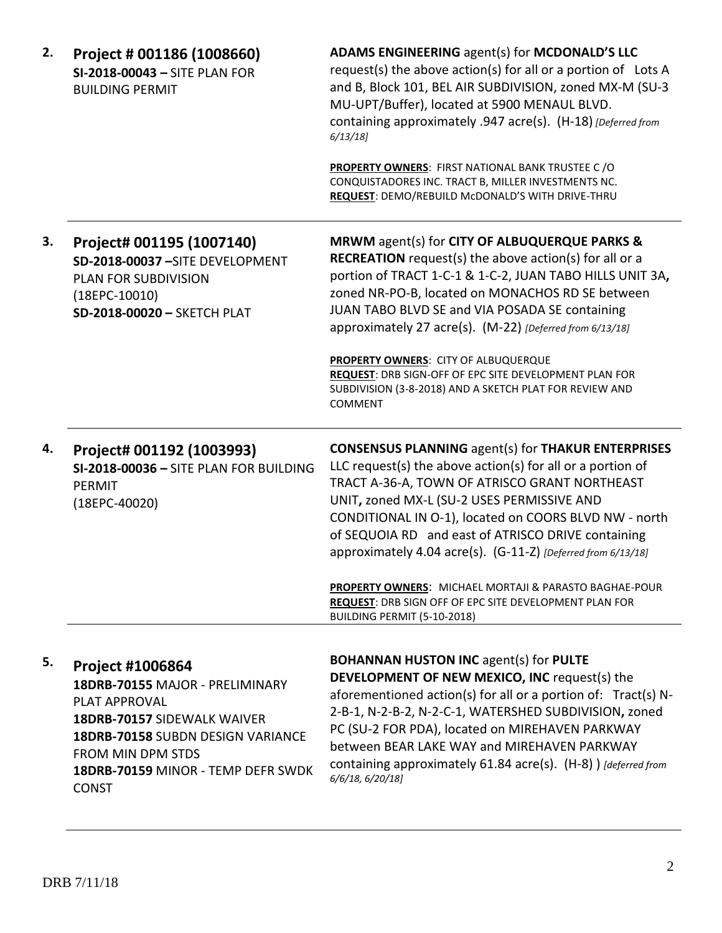| 2. | Project # 001186 (1008660)<br>SI-2018-00043 - SITE PLAN FOR<br><b>BUILDING PERMIT</b>                                                                                                                                      | ADAMS ENGINEERING agent(s) for MCDONALD'S LLC<br>request(s) the above action(s) for all or a portion of Lots A<br>and B, Block 101, BEL AIR SUBDIVISION, zoned MX-M (SU-3<br>MU-UPT/Buffer), located at 5900 MENAUL BLVD.<br>containing approximately .947 acre(s). (H-18) [Deferred from<br>$6/13/18$ ]                                                                                                        |
|----|----------------------------------------------------------------------------------------------------------------------------------------------------------------------------------------------------------------------------|-----------------------------------------------------------------------------------------------------------------------------------------------------------------------------------------------------------------------------------------------------------------------------------------------------------------------------------------------------------------------------------------------------------------|
|    |                                                                                                                                                                                                                            | <b>PROPERTY OWNERS: FIRST NATIONAL BANK TRUSTEE C/O</b><br>CONQUISTADORES INC. TRACT B, MILLER INVESTMENTS NC.<br>REQUEST: DEMO/REBUILD McDONALD'S WITH DRIVE-THRU                                                                                                                                                                                                                                              |
| 3. | Project# 001195 (1007140)<br>SD-2018-00037-SITE DEVELOPMENT<br><b>PLAN FOR SUBDIVISION</b><br>$(18EPC-10010)$<br>SD-2018-00020 - SKETCH PLAT                                                                               | MRWM agent(s) for CITY OF ALBUQUERQUE PARKS &<br><b>RECREATION</b> request(s) the above action(s) for all or a<br>portion of TRACT 1-C-1 & 1-C-2, JUAN TABO HILLS UNIT 3A,<br>zoned NR-PO-B, located on MONACHOS RD SE between<br>JUAN TABO BLVD SE and VIA POSADA SE containing<br>approximately 27 acre(s). (M-22) [Deferred from 6/13/18]                                                                    |
|    |                                                                                                                                                                                                                            | PROPERTY OWNERS: CITY OF ALBUQUERQUE<br>REQUEST: DRB SIGN-OFF OF EPC SITE DEVELOPMENT PLAN FOR<br>SUBDIVISION (3-8-2018) AND A SKETCH PLAT FOR REVIEW AND<br>COMMENT                                                                                                                                                                                                                                            |
| 4. | Project# 001192 (1003993)<br>SI-2018-00036 - SITE PLAN FOR BUILDING<br>PERMIT<br>(18EPC-40020)                                                                                                                             | <b>CONSENSUS PLANNING agent(s) for THAKUR ENTERPRISES</b><br>LLC request(s) the above $action(s)$ for all or a portion of<br>TRACT A-36-A, TOWN OF ATRISCO GRANT NORTHEAST<br>UNIT, zoned MX-L (SU-2 USES PERMISSIVE AND<br>CONDITIONAL IN O-1), located on COORS BLVD NW - north<br>of SEQUOIA RD and east of ATRISCO DRIVE containing<br>approximately 4.04 acre(s). (G-11-Z) [Deferred from 6/13/18]         |
|    |                                                                                                                                                                                                                            | <b>PROPERTY OWNERS:</b> MICHAEL MORTAJI & PARASTO BAGHAE-POUR<br>REQUEST: DRB SIGN OFF OF EPC SITE DEVELOPMENT PLAN FOR<br>BUILDING PERMIT (5-10-2018)                                                                                                                                                                                                                                                          |
| 5. | <b>Project #1006864</b><br>18DRB-70155 MAJOR - PRELIMINARY<br>PLAT APPROVAL<br>18DRB-70157 SIDEWALK WAIVER<br>18DRB-70158 SUBDN DESIGN VARIANCE<br>FROM MIN DPM STDS<br>18DRB-70159 MINOR - TEMP DEFR SWDK<br><b>CONST</b> | <b>BOHANNAN HUSTON INC agent(s) for PULTE</b><br>DEVELOPMENT OF NEW MEXICO, INC request(s) the<br>aforementioned action(s) for all or a portion of: Tract(s) N-<br>2-B-1, N-2-B-2, N-2-C-1, WATERSHED SUBDIVISION, zoned<br>PC (SU-2 FOR PDA), located on MIREHAVEN PARKWAY<br>between BEAR LAKE WAY and MIREHAVEN PARKWAY<br>containing approximately 61.84 acre(s). (H-8)) [deferred from<br>6/6/18, 6/20/18] |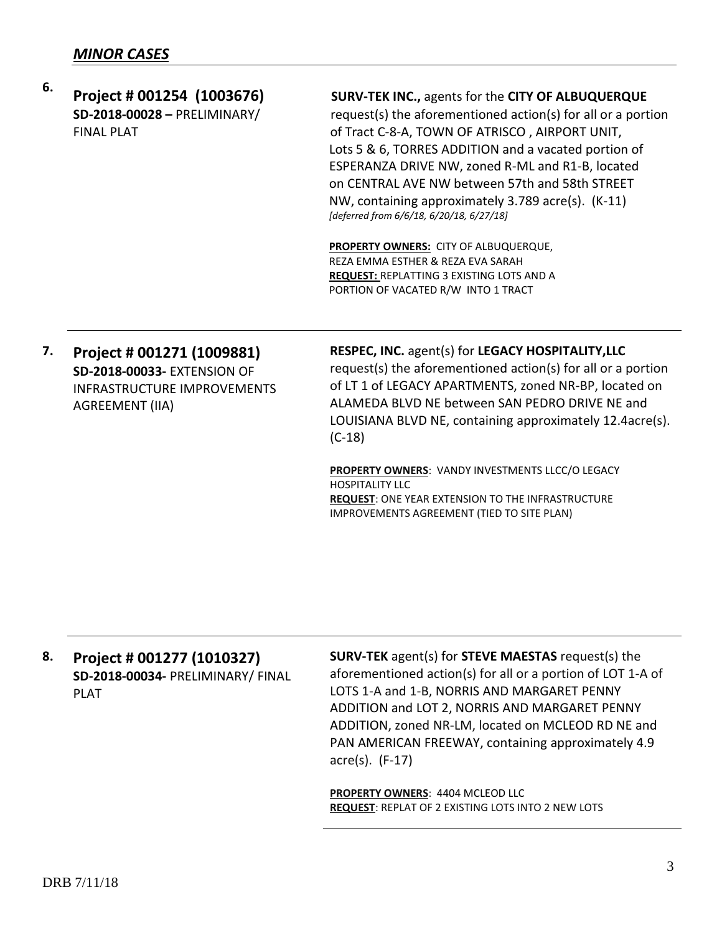| 6. | Project # 001254 (1003676)<br>SD-2018-00028 - PRELIMINARY/<br><b>FINAL PLAT</b>                                           | <b>SURV-TEK INC., agents for the CITY OF ALBUQUERQUE</b><br>request(s) the aforementioned action(s) for all or a portion<br>of Tract C-8-A, TOWN OF ATRISCO, AIRPORT UNIT,<br>Lots 5 & 6, TORRES ADDITION and a vacated portion of<br>ESPERANZA DRIVE NW, zoned R-ML and R1-B, located<br>on CENTRAL AVE NW between 57th and 58th STREET<br>NW, containing approximately 3.789 acre(s). (K-11)<br>[deferred from 6/6/18, 6/20/18, 6/27/18] |
|----|---------------------------------------------------------------------------------------------------------------------------|--------------------------------------------------------------------------------------------------------------------------------------------------------------------------------------------------------------------------------------------------------------------------------------------------------------------------------------------------------------------------------------------------------------------------------------------|
|    |                                                                                                                           | <b>PROPERTY OWNERS: CITY OF ALBUQUERQUE,</b><br>REZA EMMA ESTHER & REZA EVA SARAH<br><b>REQUEST: REPLATTING 3 EXISTING LOTS AND A</b><br>PORTION OF VACATED R/W INTO 1 TRACT                                                                                                                                                                                                                                                               |
| 7. | Project # 001271 (1009881)<br><b>SD-2018-00033- EXTENSION OF</b><br>INFRASTRUCTURF IMPROVEMENTS<br><b>AGREEMENT (IIA)</b> | RESPEC, INC. agent(s) for LEGACY HOSPITALITY, LLC<br>request(s) the aforementioned action(s) for all or a portion<br>of LT 1 of LEGACY APARTMENTS, zoned NR-BP, located on<br>ALAMEDA BLVD NE between SAN PEDRO DRIVE NE and<br>LOUISIANA BLVD NE, containing approximately 12.4acre(s).<br>$(C-18)$                                                                                                                                       |

**PROPERTY OWNERS**: VANDY INVESTMENTS LLCC/O LEGACY HOSPITALITY LLC **REQUEST**: ONE YEAR EXTENSION TO THE INFRASTRUCTURE IMPROVEMENTS AGREEMENT (TIED TO SITE PLAN)

## **8. Project # 001277 (1010327) SD-2018-00034-** PRELIMINARY/ FINAL PLAT

**SURV-TEK** agent(s) for **STEVE MAESTAS** request(s) the aforementioned action(s) for all or a portion of LOT 1-A of LOTS 1-A and 1-B, NORRIS AND MARGARET PENNY ADDITION and LOT 2, NORRIS AND MARGARET PENNY ADDITION, zoned NR-LM, located on MCLEOD RD NE and PAN AMERICAN FREEWAY, containing approximately 4.9 acre(s). (F-17)

**PROPERTY OWNERS**: 4404 MCLEOD LLC **REQUEST**: REPLAT OF 2 EXISTING LOTS INTO 2 NEW LOTS